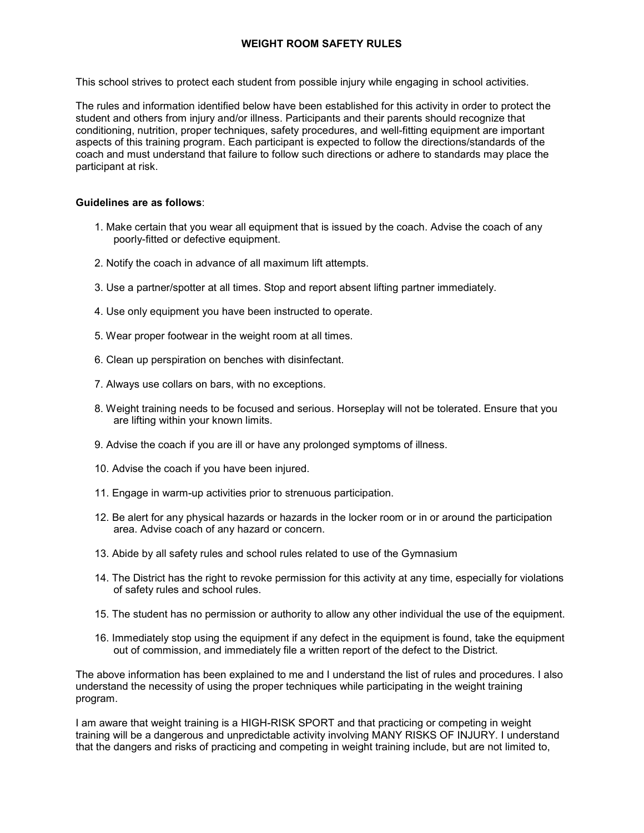## **WEIGHT ROOM SAFETY RULES**

This school strives to protect each student from possible injury while engaging in school activities.

The rules and information identified below have been established for this activity in order to protect the student and others from injury and/or illness. Participants and their parents should recognize that conditioning, nutrition, proper techniques, safety procedures, and well-fitting equipment are important aspects of this training program. Each participant is expected to follow the directions/standards of the coach and must understand that failure to follow such directions or adhere to standards may place the participant at risk.

## **Guidelines are as follows**:

- 1. Make certain that you wear all equipment that is issued by the coach. Advise the coach of any poorly-fitted or defective equipment.
- 2. Notify the coach in advance of all maximum lift attempts.
- 3. Use a partner/spotter at all times. Stop and report absent lifting partner immediately.
- 4. Use only equipment you have been instructed to operate.
- 5. Wear proper footwear in the weight room at all times.
- 6. Clean up perspiration on benches with disinfectant.
- 7. Always use collars on bars, with no exceptions.
- 8. Weight training needs to be focused and serious. Horseplay will not be tolerated. Ensure that you are lifting within your known limits.
- 9. Advise the coach if you are ill or have any prolonged symptoms of illness.
- 10. Advise the coach if you have been injured.
- 11. Engage in warm-up activities prior to strenuous participation.
- 12. Be alert for any physical hazards or hazards in the locker room or in or around the participation area. Advise coach of any hazard or concern.
- 13. Abide by all safety rules and school rules related to use of the Gymnasium
- 14. The District has the right to revoke permission for this activity at any time, especially for violations of safety rules and school rules.
- 15. The student has no permission or authority to allow any other individual the use of the equipment.
- 16. Immediately stop using the equipment if any defect in the equipment is found, take the equipment out of commission, and immediately file a written report of the defect to the District.

The above information has been explained to me and I understand the list of rules and procedures. I also understand the necessity of using the proper techniques while participating in the weight training program.

I am aware that weight training is a HIGH-RISK SPORT and that practicing or competing in weight training will be a dangerous and unpredictable activity involving MANY RISKS OF INJURY. I understand that the dangers and risks of practicing and competing in weight training include, but are not limited to,